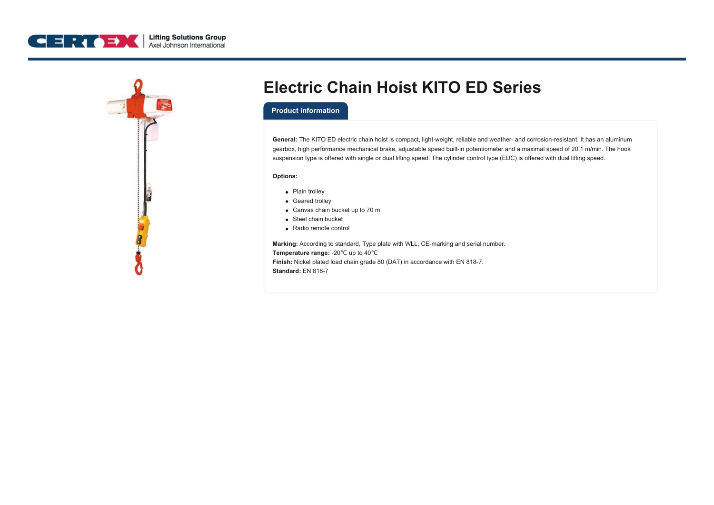



## **Electric Chain Hoist KITO ED Series**

## **Product information**

**General:** The KITO ED electric chain hoist is compact, light-weight, reliable and weather- and corrosion-resistant. It has an aluminum gearbox, high performance mechanical brake, adjustable speed built-in potentiometer and a maximal speed of 20,1 m/min. The hook suspension type is offered with single or dual lifting speed. The cylinder control type (EDC) is offered with dual lifting speed.

## **Options:**

- Plain trolley
- Geared trolley
- Canvas chain bucket up to 70 m
- Steel chain bucket
- Radio remote control

**Marking:** According to standard, Type plate with WLL, CE-marking and serial number. **Temperature range:** -20℃ up to 40℃ **Finish:** Nickel plated load chain grade 80 (DAT) in accordance with EN 818-7. **Standard:** EN 818-7